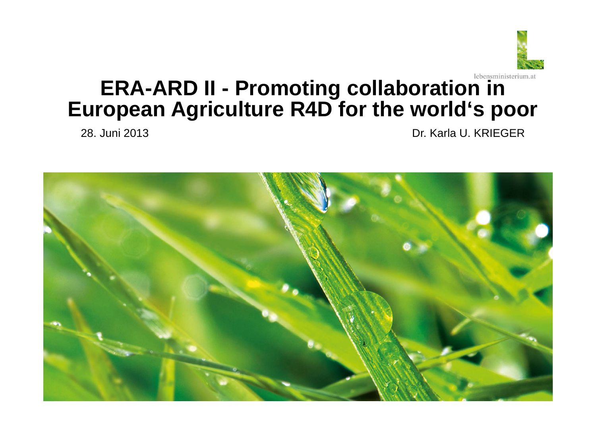

### lebensministerium.at **ERA-ARD II - Promoting collaboration in European Agriculture R4D for the world's poor**

28. Juni 2013 Dr. Karla U. KRIEGER

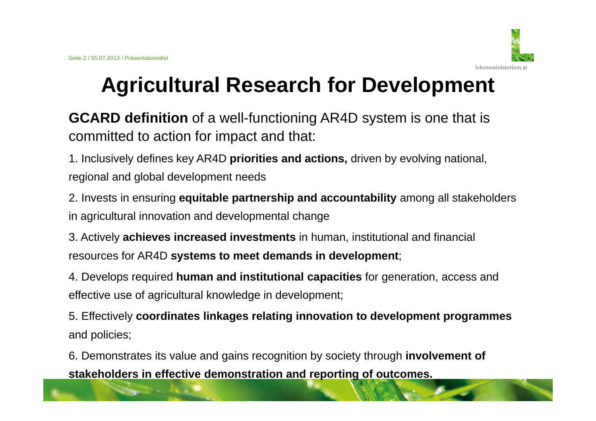**Contract Contract Contract Contract Contract Contract Contract Contract Contract Contract Contract Contract Contract Contract Contract Contract Contract Contract Contract Contract Contract Contract Contract Contract Contr** 



## **Agricultural Research for Development**

**GCARD definition** of <sup>a</sup> well-functioning AR4D system is one that is committed to action for impact and that:

1. Inclusively defines key AR4D **priorities and actions,** driven by evolving national, regional and global development needs

2. Invests in ensuring **equitable partnership and accountability** among all stakeholders in agricultural innovation and developmental change

3. Actively **achieves increased investments** in human, institutional and financial resources for AR4D **systems to meet demands in development**;

4. Develops required **human and institutional capacities** for generation, access and effective use of agricultural knowledge in development;

5. Effectively **coordinates linkages relating innovation to development programmes** and policies;

6. Demonstrates its value and gains recognition by society through **involvement of stakeholders in effective demonstration and reporting of outcomes.**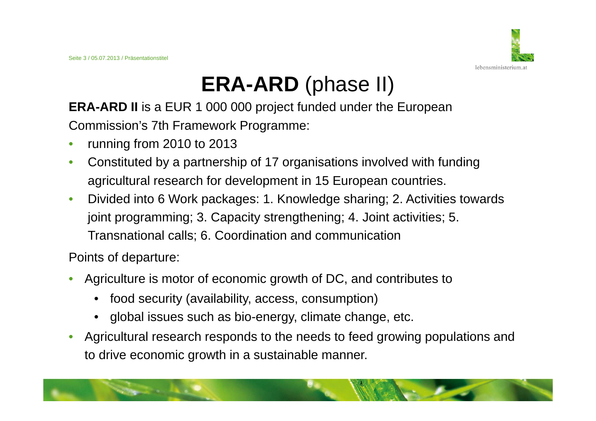

# **ERA-ARD** (phase II)

**ERA-ARD II** is a EUR 1 000 000 project funded under the European Commission's 7th Framework Programme:

- •running from 2010 to 2013
- • Constituted by a partnership of 17 organisations involved with funding agricultural research for development in 15 European countries.
- • Divided into 6 Work packages: 1. Knowledge sharing; 2. Activities towards joint programming; 3. Capacity strengthening; 4. Joint activities; 5. Transnational calls; 6. Coordination and communication

Points of departure:

- • Agriculture is motor of economic growth of DC, and contributes to
	- •food security (availability, access, consumption)
	- •global issues such as bio-energy, climate change, etc.
- • Agricultural research responds to the needs to feed growing populations and to drive economic growth in a sustainable manner.

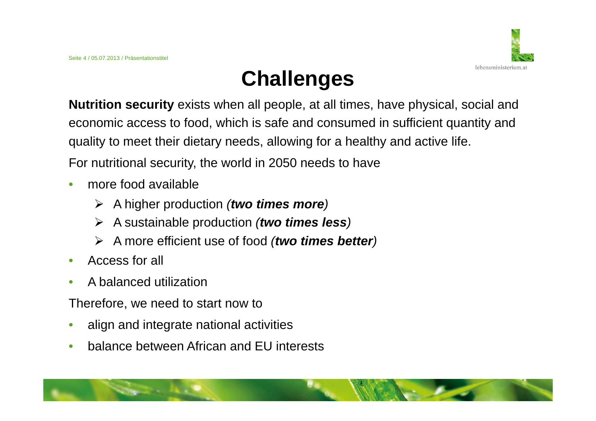

# **Challenges**

**Nutrition security** exists when all people, at all times, have physical, social and economic access to food, which is safe and consumed in sufficient quantity and quality to meet their dietary needs, allowing for a healthy and active life.

For nutritional security, the world in 2050 needs to have

- • more food available
	- A higher production *(two times more)*
	- $\blacktriangleright$ A sustainable production *(two times less)*
	- A more efficient use of food *(two times better)*
- •Access for all
- •A balanced utilization

Therefore, we need to start now to

- •align and integrate national activities
- •balance between African and EU interests

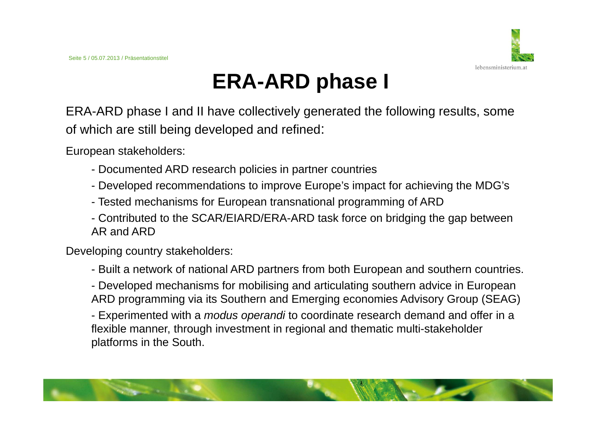

# **ERA-ARD phase I**

ERA-ARD phase I and II have collectively generated the following results, some of which are still being developed and refined:

European stakeholders:

- Documented ARD research policies in partner countries
- Developed recommendations to improve Europe's impact for achieving the MDG's
- Tested mechanisms for European transnational programming of ARD
- Contributed to the SCAR/EIARD/ERA-ARD task force on bridging the gap between AR and ARD

Developing country stakeholders:

- Built a network of national ARD partners from both European and southern countries.

- Developed mechanisms for mobilising and articulating southern advice in European ARD programming via its Southern and Emerging economies Advisory Group (SEAG)

- Experimented with a *modus operandi* to coordinate research demand and offer in a flexible manner, through investment in regional and thematic multi-stakeholder platforms in the South.

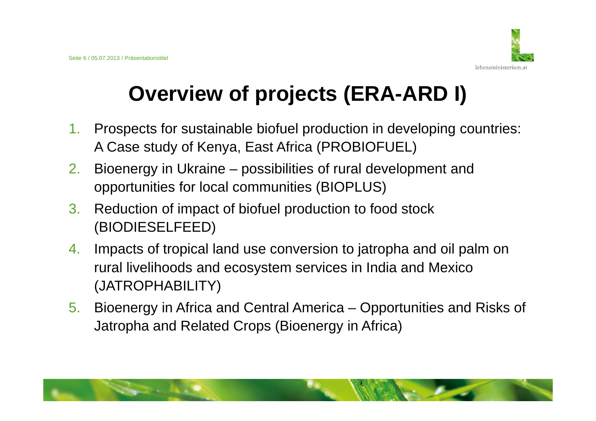

# **Overview of projects (ERA-ARD I)**

- 1. Prospects for sustainable biofuel production in developing countries: A Case study of Kenya, East Africa (PROBIOFUEL)
- 2. Bioenergy in Ukraine – possibilities of rural development and opportunities for local communities (BIOPLUS)
- 3. Reduction of impact of biofuel production to food stock (BIODIESELFEED)
- 4. Impacts of tropical land use conversion to jatropha and oil palm on rural livelihoods and ecosystem services in India and Mexico (JATROPHABILITY)
- 5. Bioenergy in Africa and Central America Opportunities and Risks of Jatropha and Related Crops (Bioenergy in Africa)

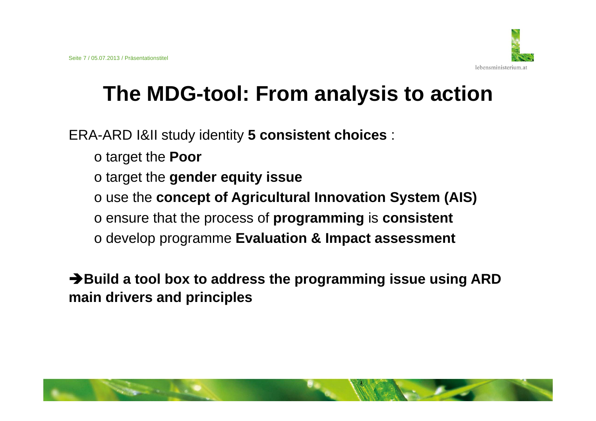

## **The MDG-tool: From analysis to action**

ERA-ARD I&II study identity **5 consistent choices** :

- o target the **Poor**
- o target the **gender equity issue**
- o use the **concept of Agricultural Innovation System (AIS)**
- o ensure that the process of **programming** is **consistent**
- o develop programme **Evaluation & Impact assessment**

**→ Build a tool box to address the programming issue using ARD main drivers and principles**

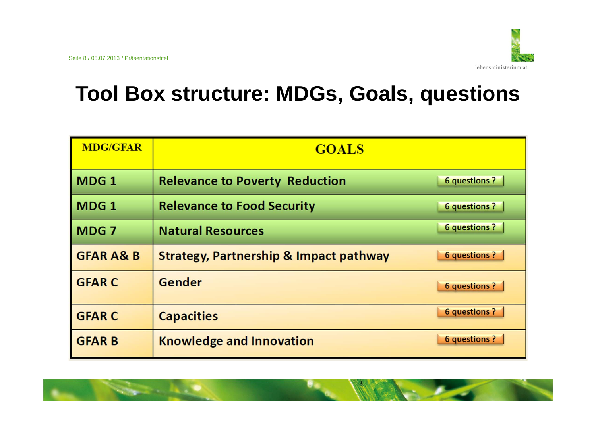

## **Tool Box structure: MDGs, Goals, questions**

| <b>MDG/GFAR</b>      | <b>GOALS</b>                                      |               |
|----------------------|---------------------------------------------------|---------------|
| MDG <sub>1</sub>     | <b>Relevance to Poverty Reduction</b>             | 6 questions ? |
| MDG <sub>1</sub>     | <b>Relevance to Food Security</b>                 | 6 questions ? |
| MDG <sub>7</sub>     | <b>Natural Resources</b>                          | 6 questions ? |
| <b>GFAR A&amp; B</b> | <b>Strategy, Partnership &amp; Impact pathway</b> | 6 questions ? |
| <b>GFAR C</b>        | Gender                                            | 6 questions ? |
| <b>GFAR C</b>        | <b>Capacities</b>                                 | 6 questions ? |
| <b>GFARB</b>         | <b>Knowledge and Innovation</b>                   | 6 questions ? |

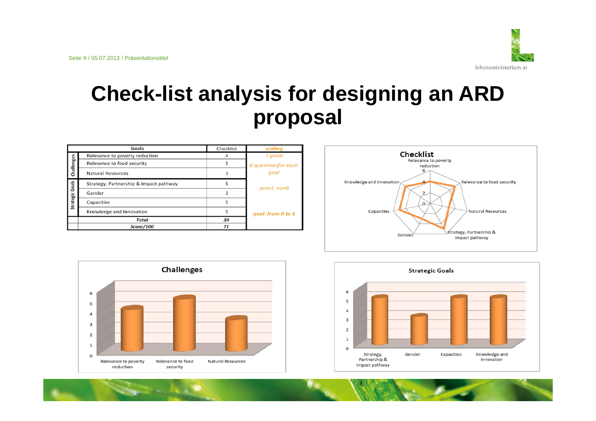

## **Check-list analysis for designing an ARD proposal**

|                    | Goals                                  | Checklist | scaling             |
|--------------------|----------------------------------------|-----------|---------------------|
|                    | Relevance to poverty reduction         |           | 7 goals             |
| Challenges         | Relevance to food security             | 5         | 6 questionsfor each |
|                    | <b>Natural Resources</b>               | 3         | goal                |
| Goals<br>Strategic | Strategy, Partnership & Impact pathway | 5         | $yes=1, no=0$       |
|                    | Gender                                 | 3         |                     |
|                    | Capacities                             | 5         |                     |
|                    | Knowledge and Innovation               | 5         | goal: from 0 to 6   |
|                    | <b>Total</b>                           | 30        |                     |
| Score/100          |                                        | 71        |                     |





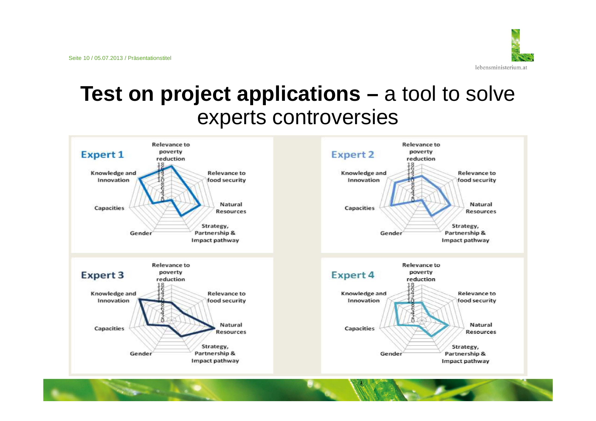

### **Test on project applications –** a tool to solve experts controversies

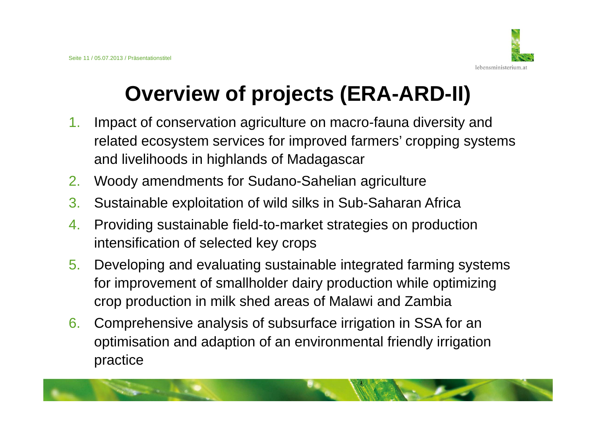

# **Overview of projects (ERA-ARD-II)**

- 1. Impact of conservation agriculture on macro-fauna diversity and related ecosystem services for improved farmers' cropping systems and livelihoods in highlands of Madagascar
- 2.Woody amendments for Sudano-Sahelian agriculture
- 3. Sustainable exploitation of wild silks in Sub-Saharan Africa
- 4. Providing sustainable field-to-market strategies on production intensification of selected key crops
- 5. Developing and evaluating sustainable integrated farming systems for improvement of smallholder dairy production while optimizing crop production in milk shed areas of Malawi and Zambia
- 6. Comprehensive analysis of subsurface irrigation in SSA for an optimisation and adaption of an environmental friendly irrigation practice

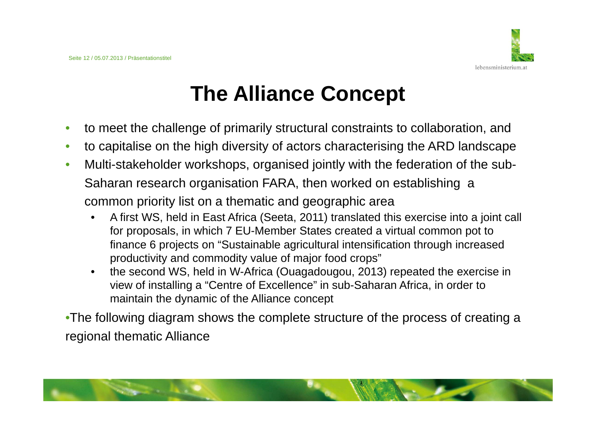

# **The Alliance Concept**

- •to meet the challenge of primarily structural constraints to collaboration, and
- •to capitalise on the high diversity of actors characterising the ARD landscape
- • Multi-stakeholder workshops, organised jointly with the federation of the sub-Saharan research organisation FARA, then worked on establishing a common priority list on a thematic and geographic area
	- • A first WS, held in East Africa (Seeta, 2011) translated this exercise into a joint call for proposals, in which 7 EU-Member States created a virtual common pot to finance 6 projects on "Sustainable agricultural intensification through increased productivity and commodity value of major food crops"
	- $\bullet$  the second WS, held in W-Africa (Ouagadougou, 2013) repeated the exercise in view of installing a "Centre of Excellence" in sub-Saharan Africa, in order to maintain the dynamic of the Alliance concept

•The following diagram shows the complete structure of the process of creating a regional thematic Alliance

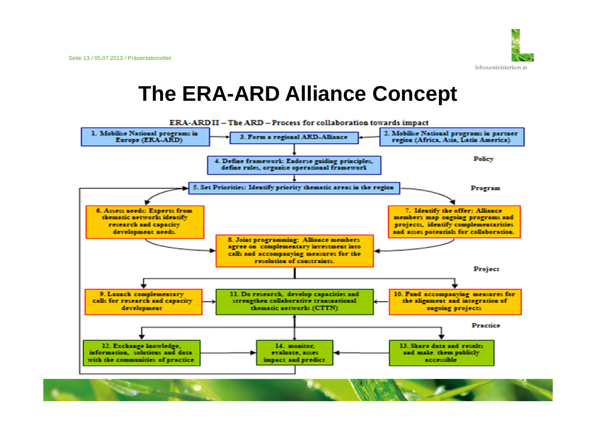## **The ERA-ARD Alliance Concept**

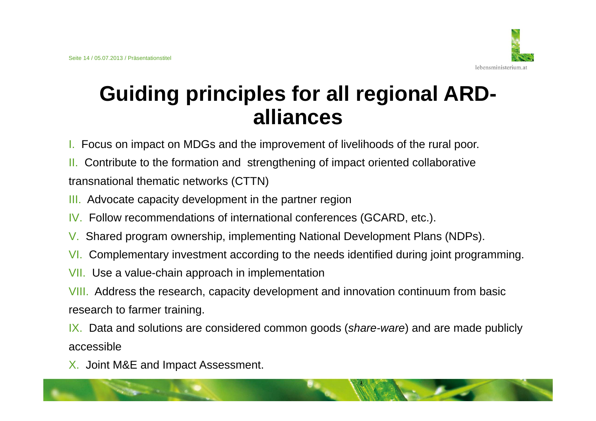

## **Guiding principles for all regional ARDalliances**

- I. Focus on impact on MDGs and the improvement of livelihoods of the rural poor.
- II. Contribute to the formation and strengthening of impact oriented collaborative transnational thematic networks (CTTN)
- III. Advocate capacity development in the partner region
- IV. Follow recommendations of international conferences (GCARD, etc.).
- V. Shared program ownership, implementing National Development Plans (NDPs).
- VI. Complementary investment according to the needs identified during joint programming.
- **VII.** Use a value-chain approach in implementation
- VIII. Address the research, capacity development and innovation continuum from basic research to farmer training.
- IX. Data and solutions are considered common goods (*share-ware*) and are made publicly accessible
- X. Joint M&E and Impact Assessment.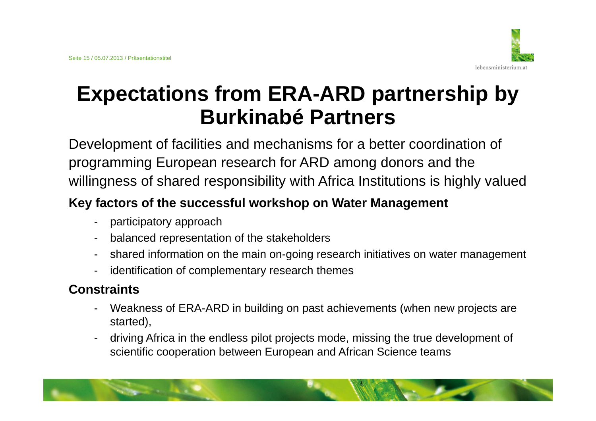

## **Expectations from ERA-ARD partnership by Burkinabé Partners**

Development of facilities and mechanisms for a better coordination of programming European research for ARD among donors and the willingness of shared responsibility with Africa Institutions is highly valued

#### **Key factors of the successful workshop on Water Management**

- participatory approach
- balanced representation of the stakeholders
- shared information on the main on-going research initiatives on water management
- identification of complementary research themes

### **Constraints**

- - Weakness of ERA-ARD in building on past achievements (when new projects are started),
- driving Africa in the endless pilot projects mode, missing the true development of scientific cooperation between European and African Science teams

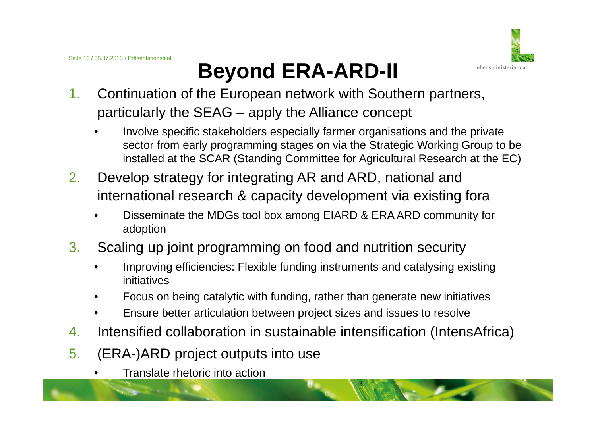# **Beyond ERA-ARD-II**



- 1. Continuation of the European network with Southern partners, particularly the SEAG – apply the Alliance concept
	- • Involve specific stakeholders especially farmer organisations and the private sector from early programming stages on via the Strategic Working Group to be installed at the SCAR (Standing Committee for Agricultural Research at the EC)
- 2. Develop strategy for integrating AR and ARD, national and international research & capacity development via existing fora
	- • Disseminate the MDGs tool box among EIARD & ERA ARD community for adoption
- 3. Scaling up joint programming on food and nutrition security
	- • Improving efficiencies: Flexible funding instruments and catalysing existing initiatives
	- •Focus on being catalytic with funding, rather than generate new initiatives
	- •Ensure better articulation between project sizes and issues to resolve
- 4.Intensified collaboration in sustainable intensification (IntensAfrica)
- 5. (ERA-)ARD project outputs into use
	- •Translate rhetoric into action

 $\mathbf{A}$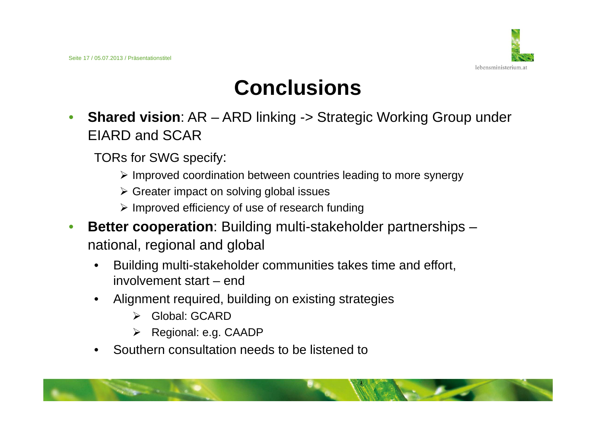

## **Conclusions**

- •**Shared vision: AR – ARD linking -> Strategic Working Group under** EIARD and SCAR
	- TORs for SWG specify:
		- $\triangleright$  Improved coordination between countries leading to more synergy
		- Greater impact on solving global issues
		- $\triangleright$  Improved efficiency of use of research funding
- • **Better cooperation**: Building multi-stakeholder partnerships – national, regional and global
	- • Building multi-stakeholder communities takes time and effort, involvement start – end
	- • Alignment required, building on existing strategies
		- $\blacktriangleright$ Global: GCARD
		- ▶ Regional: e.g. CAADP
	- •Southern consultation needs to be listened to

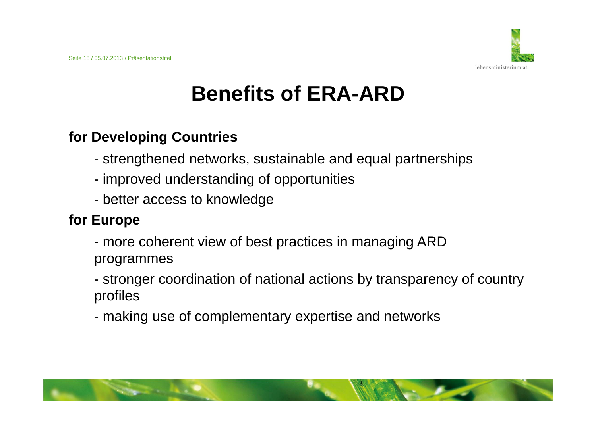

# **Benefits of ERA-ARD**

### **for Developing Countries**

- strengthened networks, sustainable and equal partnerships
- improved understanding of opportunities
- better access to knowledge

### **for Europe**

- more coherent view of best practices in managing ARD programmes
- stronger coordination of national actions by transparency of country profiles
- making use of complementary expertise and networks

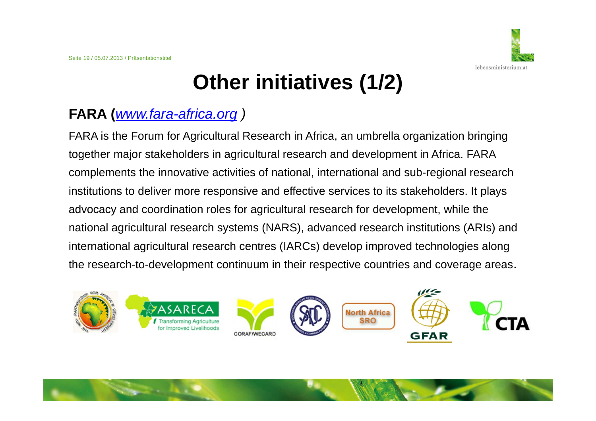

# **Other initiatives (1/2)**

### **FARA (***www.fara-africa.org )*

FARA is the Forum for Agricultural Research in Africa, an umbrella organization bringing together major stakeholders in agricultural research and development in Africa. FARA complements the innovative activities of national, international and sub-regional research institutions to deliver more responsive and effective services to its stakeholders. It plays advocacy and coordination roles for agricultural research for development, while the national agricultural research systems (NARS), advanced research institutions (ARIs) and international agricultural research centres (IARCs) develop improved technologies along the research-to-development continuum in their respective countries and coverage areas.



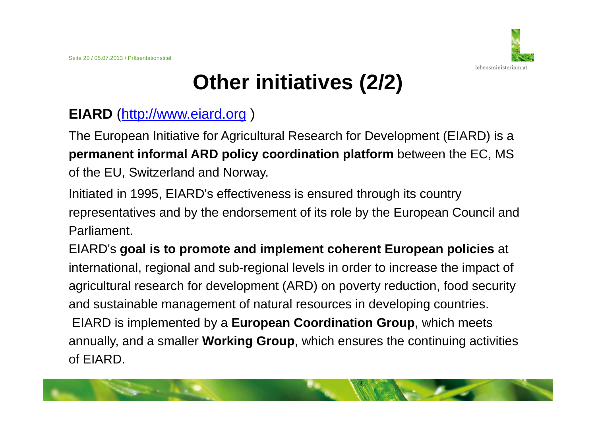

# **Other initiatives (2/2)**

### **EIARD** (http://www.eiard.org )

The European Initiative for Agricultural Research for Development (EIARD) is a **permanent informal ARD policy coordination platform** between the EC, MS of the EU, Switzerland and Norway.

Initiated in 1995, EIARD's effectiveness is ensured through its country representatives and by the endorsement of its role by the European Council and Parliament.

EIARD's **goal is to promote and implement coherent European policies** at international, regional and sub-regional levels in order to increase the impact of agricultural research for development (ARD) on poverty reduction, food security and sustainable management of natural resources in developing countries. EIARD is implemented by a **European Coordination Group**, which meets annually, and a smaller **Working Group**, which ensures the continuing activities of EIARD.

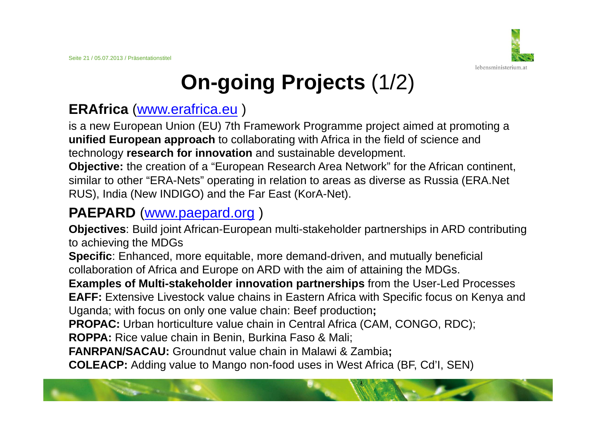

**On-going Projects** (1/2)

#### **ERAfrica** (www.erafrica.eu )

is a new European Union (EU) 7th Framework Programme project aimed at promoting a **unified European approach** to collaborating with Africa in the field of science and technology **research for innovation** and sustainable development.

**Objective:** the creation of a "European Research Area Network" for the African continent, similar to other "ERA-Nets" operating in relation to areas as diverse as Russia (ERA.Net RUS), India (New INDIGO) and the Far East (KorA-Net).

### **PAEPARD** (www.paepard.org )

**Objectives**: Build joint African-European multi-stakeholder partnerships in ARD contributing to achieving the MDGs

**Specific**: Enhanced, more equitable, more demand-driven, and mutually beneficial collaboration of Africa and Europe on ARD with the aim of attaining the MDGs.

**Examples of Multi-stakeholder innovation partnerships** from the User-Led Processes

**EAFF:** Extensive Livestock value chains in Eastern Africa with Specific focus on Kenya and Uganda; with focus on only one value chain: Beef production**;**

**PROPAC:** Urban horticulture value chain in Central Africa (CAM, CONGO, RDC);

**ROPPA:** Rice value chain in Benin, Burkina Faso & Mali;

**FANRPAN/SACAU:** Groundnut value chain in Malawi & Zambia**;**

**COLEACP:** Adding value to Mango non-food uses in West Africa (BF, Cd'I, SEN)

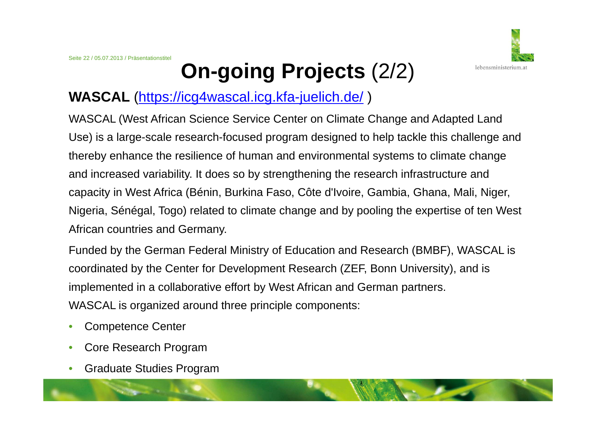# **On-going Projects** (2/2)



### **WASCAL** (https://icg4wascal.icg.kfa-juelich.de/ )

WASCAL (West African Science Service Center on Climate Change and Adapted Land Use) is a large-scale research-focused program designed to help tackle this challenge and thereby enhance the resilience of human and environmental systems to climate change and increased variability. It does so by strengthening the research infrastructure and capacity in West Africa (Bénin, Burkina Faso, Côte d'Ivoire, Gambia, Ghana, Mali, Niger, Nigeria, Sénégal, Togo) related to climate change and by pooling the expertise of ten West African countries and Germany.

Funded by the German Federal Ministry of Education and Research (BMBF), WASCAL is coordinated by the Center for Development Research (ZEF, Bonn University), and is implemented in a collaborative effort by West African and German partners. WASCAL is organized around three principle components:

- •Competence Center
- •Core Research Program
- •Graduate Studies Program

 $\sim$   $\sim$   $\sim$   $\sim$